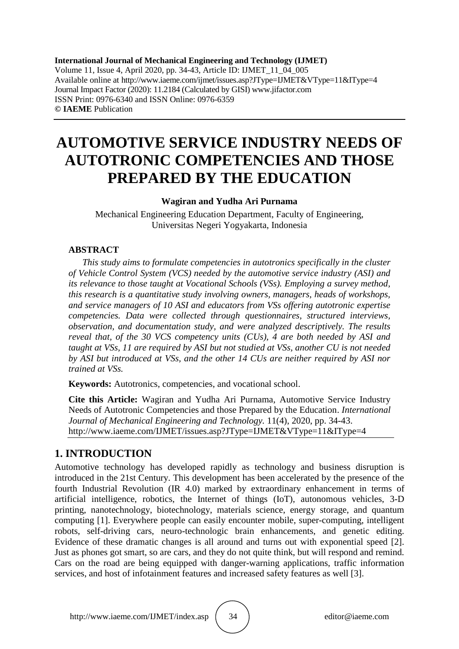**International Journal of Mechanical Engineering and Technology (IJMET)** Volume 11, Issue 4, April 2020, pp. 34-43, Article ID: IJMET\_11\_04\_005 Available online at http://www.iaeme.com/ijmet/issues.asp?JType=IJMET&VType=11&IType=4 Journal Impact Factor (2020): 11.2184 (Calculated by GISI) www.jifactor.com ISSN Print: 0976-6340 and ISSN Online: 0976-6359 **© IAEME** Publication

# **AUTOMOTIVE SERVICE INDUSTRY NEEDS OF AUTOTRONIC COMPETENCIES AND THOSE PREPARED BY THE EDUCATION**

### **Wagiran and Yudha Ari Purnama**

Mechanical Engineering Education Department, Faculty of Engineering, Universitas Negeri Yogyakarta, Indonesia

### **ABSTRACT**

*This study aims to formulate competencies in autotronics specifically in the cluster of Vehicle Control System (VCS) needed by the automotive service industry (ASI) and its relevance to those taught at Vocational Schools (VSs). Employing a survey method, this research is a quantitative study involving owners, managers, heads of workshops, and service managers of 10 ASI and educators from VSs offering autotronic expertise competencies. Data were collected through questionnaires, structured interviews, observation, and documentation study, and were analyzed descriptively. The results reveal that, of the 30 VCS competency units (CUs), 4 are both needed by ASI and taught at VSs, 11 are required by ASI but not studied at VSs, another CU is not needed by ASI but introduced at VSs, and the other 14 CUs are neither required by ASI nor trained at VSs.*

**Keywords:** Autotronics, competencies, and vocational school.

**Cite this Article:** Wagiran and Yudha Ari Purnama, Automotive Service Industry Needs of Autotronic Competencies and those Prepared by the Education. *International Journal of Mechanical Engineering and Technology.* 11(4), 2020, pp. 34-43. http://www.iaeme.com/IJMET/issues.asp?JType=IJMET&VType=11&IType=4

# **1. INTRODUCTION**

Automotive technology has developed rapidly as technology and business disruption is introduced in the 21st Century. This development has been accelerated by the presence of the fourth Industrial Revolution (IR 4.0) marked by extraordinary enhancement in terms of artificial intelligence, robotics, the Internet of things (IoT), autonomous vehicles, 3-D printing, nanotechnology, biotechnology, materials science, energy storage, and quantum computing [1]. Everywhere people can easily encounter mobile, super-computing, intelligent robots, self-driving cars, neuro-technologic brain enhancements, and genetic editing. Evidence of these dramatic changes is all around and turns out with exponential speed [2]. Just as phones got smart, so are cars, and they do not quite think, but will respond and remind. Cars on the road are being equipped with danger-warning applications, traffic information services, and host of infotainment features and increased safety features as well [3].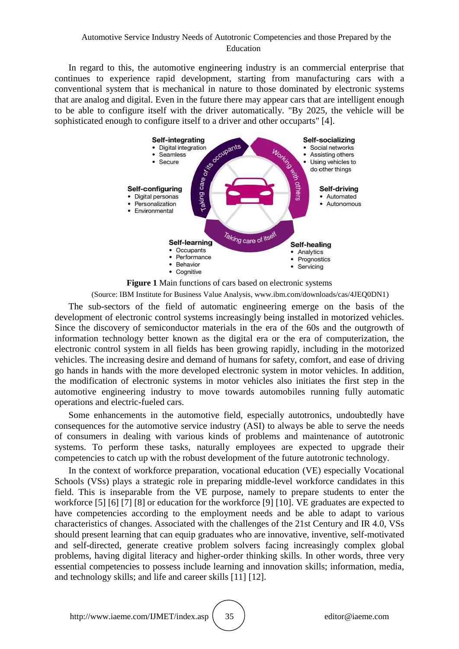### Automotive Service Industry Needs of Autotronic Competencies and those Prepared by the Education

In regard to this, the automotive engineering industry is an commercial enterprise that continues to experience rapid development, starting from manufacturing cars with a conventional system that is mechanical in nature to those dominated by electronic systems that are analog and digital. Even in the future there may appear cars that are intelligent enough to be able to configure itself with the driver automatically. "By 2025, the vehicle will be sophisticated enough to configure itself to a driver and other occuparts" [4].



**Figure 1** Main functions of cars based on electronic systems

(Source: IBM Institute for Business Value Analysis, www.ibm.com/downloads/cas/4JEQ0DN1)

The sub-sectors of the field of automatic engineering emerge on the basis of the development of electronic control systems increasingly being installed in motorized vehicles. Since the discovery of semiconductor materials in the era of the 60s and the outgrowth of information technology better known as the digital era or the era of computerization, the electronic control system in all fields has been growing rapidly, including in the motorized vehicles. The increasing desire and demand of humans for safety, comfort, and ease of driving go hands in hands with the more developed electronic system in motor vehicles. In addition, the modification of electronic systems in motor vehicles also initiates the first step in the automotive engineering industry to move towards automobiles running fully automatic operations and electric-fueled cars.

Some enhancements in the automotive field, especially autotronics, undoubtedly have consequences for the automotive service industry (ASI) to always be able to serve the needs of consumers in dealing with various kinds of problems and maintenance of autotronic systems. To perform these tasks, naturally employees are expected to upgrade their competencies to catch up with the robust development of the future autotronic technology.

In the context of workforce preparation, vocational education (VE) especially Vocational Schools (VSs) plays a strategic role in preparing middle-level workforce candidates in this field. This is inseparable from the VE purpose, namely to prepare students to enter the workforce [5] [6] [7] [8] or education for the workforce [9] [10]. VE graduates are expected to have competencies according to the employment needs and be able to adapt to various characteristics of changes. Associated with the challenges of the 21st Century and IR 4.0, VSs should present learning that can equip graduates who are innovative, inventive, self-motivated and self-directed, generate creative problem solvers facing increasingly complex global problems, having digital literacy and higher-order thinking skills. In other words, three very essential competencies to possess include learning and innovation skills; information, media, and technology skills; and life and career skills [11] [12].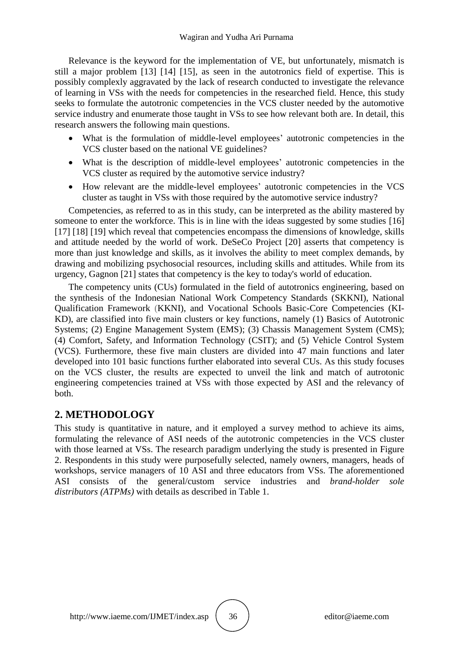Relevance is the keyword for the implementation of VE, but unfortunately, mismatch is still a major problem [13] [14] [15], as seen in the autotronics field of expertise. This is possibly complexly aggravated by the lack of research conducted to investigate the relevance of learning in VSs with the needs for competencies in the researched field. Hence, this study seeks to formulate the autotronic competencies in the VCS cluster needed by the automotive service industry and enumerate those taught in VSs to see how relevant both are. In detail, this research answers the following main questions.

- What is the formulation of middle-level employees' autotronic competencies in the VCS cluster based on the national VE guidelines?
- What is the description of middle-level employees' autotronic competencies in the VCS cluster as required by the automotive service industry?
- How relevant are the middle-level employees' autotronic competencies in the VCS cluster as taught in VSs with those required by the automotive service industry?

Competencies, as referred to as in this study, can be interpreted as the ability mastered by someone to enter the workforce. This is in line with the ideas suggested by some studies [16] [17] [18] [19] which reveal that competencies encompass the dimensions of knowledge, skills and attitude needed by the world of work. DeSeCo Project [20] asserts that competency is more than just knowledge and skills, as it involves the ability to meet complex demands, by drawing and mobilizing psychosocial resources, including skills and attitudes. While from its urgency, Gagnon [21] states that competency is the key to today's world of education.

The competency units (CUs) formulated in the field of autotronics engineering, based on the synthesis of the Indonesian National Work Competency Standards (SKKNI), National Qualification Framework (KKNI), and Vocational Schools Basic-Core Competencies (KI-KD), are classified into five main clusters or key functions, namely (1) Basics of Autotronic Systems; (2) Engine Management System (EMS); (3) Chassis Management System (CMS); (4) Comfort, Safety, and Information Technology (CSIT); and (5) Vehicle Control System (VCS). Furthermore, these five main clusters are divided into 47 main functions and later developed into 101 basic functions further elaborated into several CUs. As this study focuses on the VCS cluster, the results are expected to unveil the link and match of autrotonic engineering competencies trained at VSs with those expected by ASI and the relevancy of both.

# **2. METHODOLOGY**

This study is quantitative in nature, and it employed a survey method to achieve its aims, formulating the relevance of ASI needs of the autotronic competencies in the VCS cluster with those learned at VSs. The research paradigm underlying the study is presented in Figure 2. Respondents in this study were purposefully selected, namely owners, managers, heads of workshops, service managers of 10 ASI and three educators from VSs. The aforementioned ASI consists of the general/custom service industries and *brand-holder sole distributors (ATPMs)* with details as described in Table 1.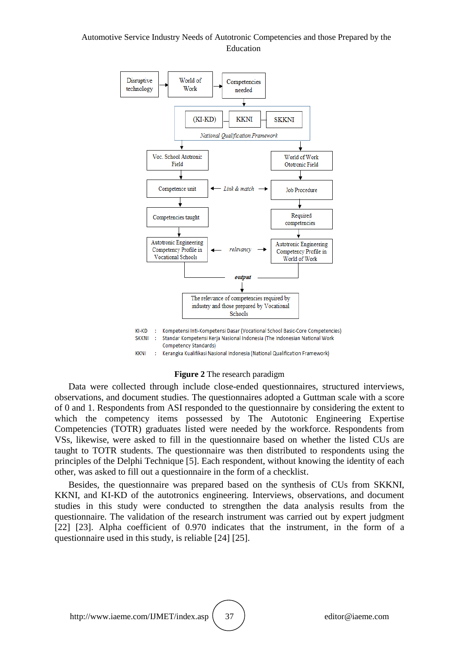### Automotive Service Industry Needs of Autotronic Competencies and those Prepared by the Education



#### **Figure 2** The research paradigm

Data were collected through include close-ended questionnaires, structured interviews, observations, and document studies. The questionnaires adopted a Guttman scale with a score of 0 and 1. Respondents from ASI responded to the questionnaire by considering the extent to which the competency items possessed by The Autotonic Engineering Expertise Competencies (TOTR) graduates listed were needed by the workforce. Respondents from VSs, likewise, were asked to fill in the questionnaire based on whether the listed CUs are taught to TOTR students. The questionnaire was then distributed to respondents using the principles of the Delphi Technique [5]. Each respondent, without knowing the identity of each other, was asked to fill out a questionnaire in the form of a checklist.

Besides, the questionnaire was prepared based on the synthesis of CUs from SKKNI, KKNI, and KI-KD of the autotronics engineering. Interviews, observations, and document studies in this study were conducted to strengthen the data analysis results from the questionnaire. The validation of the research instrument was carried out by expert judgment [22] [23]. Alpha coefficient of 0.970 indicates that the instrument, in the form of a questionnaire used in this study, is reliable [24] [25].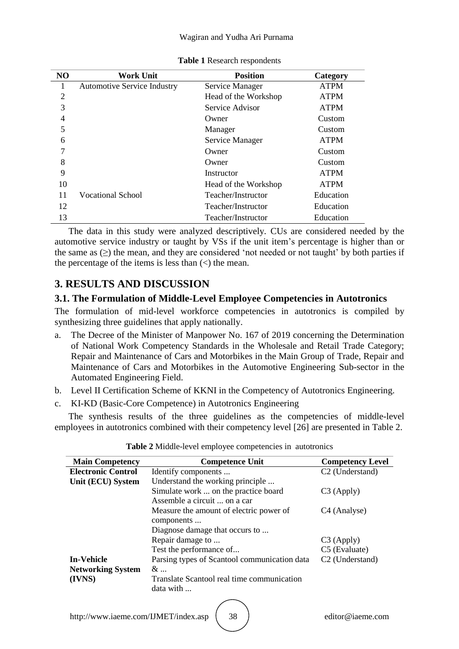#### Wagiran and Yudha Ari Purnama

| N <sub>O</sub> | <b>Work Unit</b>                   | <b>Position</b>      | Category    |
|----------------|------------------------------------|----------------------|-------------|
|                | <b>Automotive Service Industry</b> | Service Manager      | <b>ATPM</b> |
| $\overline{2}$ |                                    | Head of the Workshop | <b>ATPM</b> |
| 3              |                                    | Service Advisor      | <b>ATPM</b> |
| 4              |                                    | Owner                | Custom      |
| 5              |                                    | Manager              | Custom      |
| 6              |                                    | Service Manager      | <b>ATPM</b> |
| ⇁              |                                    | Owner                | Custom      |
| 8              |                                    | Owner                | Custom      |
| 9              |                                    | Instructor           | <b>ATPM</b> |
| 10             |                                    | Head of the Workshop | <b>ATPM</b> |
| 11             | Vocational School                  | Teacher/Instructor   | Education   |
| 12             |                                    | Teacher/Instructor   | Education   |
| 13             |                                    | Teacher/Instructor   | Education   |

#### **Table 1** Research respondents

The data in this study were analyzed descriptively. CUs are considered needed by the automotive service industry or taught by VSs if the unit item's percentage is higher than or the same as (≥) the mean, and they are considered 'not needed or not taught' by both parties if the percentage of the items is less than  $\left\langle \zeta \right\rangle$  the mean.

# **3. RESULTS AND DISCUSSION**

### **3.1. The Formulation of Middle-Level Employee Competencies in Autotronics**

The formulation of mid-level workforce competencies in autotronics is compiled by synthesizing three guidelines that apply nationally.

- a. The Decree of the Minister of Manpower No. 167 of 2019 concerning the Determination of National Work Competency Standards in the Wholesale and Retail Trade Category; Repair and Maintenance of Cars and Motorbikes in the Main Group of Trade, Repair and Maintenance of Cars and Motorbikes in the Automotive Engineering Sub-sector in the Automated Engineering Field.
- b. Level II Certification Scheme of KKNI in the Competency of Autotronics Engineering.
- c. KI-KD (Basic-Core Competence) in Autotronics Engineering

The synthesis results of the three guidelines as the competencies of middle-level employees in autotronics combined with their competency level [26] are presented in Table 2.

| <b>Main Competency</b>    | <b>Competence Unit</b>                       | <b>Competency Level</b>     |
|---------------------------|----------------------------------------------|-----------------------------|
| <b>Electronic Control</b> | Identify components                          | C <sub>2</sub> (Understand) |
| Unit (ECU) System         | Understand the working principle             |                             |
|                           | Simulate work  on the practice board         | $C3$ (Apply)                |
|                           | Assemble a circuit  on a car                 |                             |
|                           | Measure the amount of electric power of      | C <sub>4</sub> (Analyse)    |
|                           | components                                   |                             |
|                           | Diagnose damage that occurs to               |                             |
|                           | Repair damage to                             | $C3$ (Apply)                |
|                           | Test the performance of                      | C5 (Evaluate)               |
| <b>In-Vehicle</b>         | Parsing types of Scantool communication data | C <sub>2</sub> (Understand) |
| <b>Networking System</b>  | $\&\ldots$                                   |                             |
| (IVNS)                    | Translate Scantool real time communication   |                             |
|                           | data with                                    |                             |
|                           |                                              |                             |

|  | Table 2 Middle-level employee competencies in autotronics |  |
|--|-----------------------------------------------------------|--|
|--|-----------------------------------------------------------|--|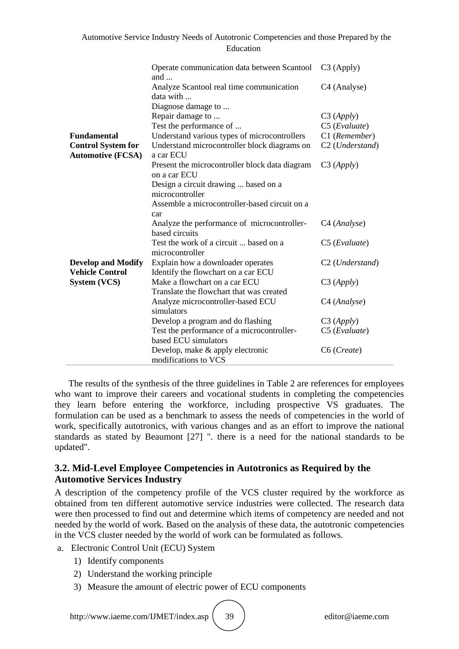|                                                                             | Operate communication data between Scantool<br>and                                                                                                                             | C <sub>3</sub> (Apply)                                                      |
|-----------------------------------------------------------------------------|--------------------------------------------------------------------------------------------------------------------------------------------------------------------------------|-----------------------------------------------------------------------------|
|                                                                             | Analyze Scantool real time communication<br>data with                                                                                                                          | C <sub>4</sub> (Analyse)                                                    |
| <b>Fundamental</b><br><b>Control System for</b><br><b>Automotive (FCSA)</b> | Diagnose damage to<br>Repair damage to<br>Test the performance of<br>Understand various types of microcontrollers<br>Understand microcontroller block diagrams on<br>a car ECU | C3 (Apply)<br>C5 (Evaluate)<br>C1 (Remember)<br>C <sub>2</sub> (Understand) |
|                                                                             | Present the microcontroller block data diagram<br>on a car ECU<br>Design a circuit drawing  based on a<br>microcontroller<br>Assemble a microcontroller-based circuit on a     | C3 (Apply)                                                                  |
|                                                                             | car<br>Analyze the performance of microcontroller-<br>based circuits                                                                                                           | C <sub>4</sub> (Analyse)                                                    |
|                                                                             | Test the work of a circuit  based on a<br>microcontroller                                                                                                                      | $C5$ ( <i>Evaluate</i> )                                                    |
| <b>Develop and Modify</b><br><b>Vehicle Control</b>                         | Explain how a downloader operates<br>Identify the flowchart on a car ECU                                                                                                       | C <sub>2</sub> (Understand)                                                 |
| System (VCS)                                                                | Make a flowchart on a car ECU<br>Translate the flowchart that was created                                                                                                      | C3 (Apply)                                                                  |
|                                                                             | Analyze microcontroller-based ECU<br>simulators                                                                                                                                | C <sub>4</sub> (Analyse)                                                    |
|                                                                             | Develop a program and do flashing                                                                                                                                              | C3 (Apply)                                                                  |
|                                                                             | Test the performance of a microcontroller-<br>based ECU simulators                                                                                                             | $C5$ ( <i>Evaluate</i> )                                                    |
|                                                                             | Develop, make & apply electronic<br>modifications to VCS                                                                                                                       | C6 (Create)                                                                 |

The results of the synthesis of the three guidelines in Table 2 are references for employees who want to improve their careers and vocational students in completing the competencies they learn before entering the workforce, including prospective VS graduates. The formulation can be used as a benchmark to assess the needs of competencies in the world of work, specifically autotronics, with various changes and as an effort to improve the national standards as stated by Beaumont [27] ". there is a need for the national standards to be updated".

# **3.2. Mid-Level Employee Competencies in Autotronics as Required by the Automotive Services Industry**

A description of the competency profile of the VCS cluster required by the workforce as obtained from ten different automotive service industries were collected. The research data were then processed to find out and determine which items of competency are needed and not needed by the world of work. Based on the analysis of these data, the autotronic competencies in the VCS cluster needed by the world of work can be formulated as follows.

- a. Electronic Control Unit (ECU) System
	- 1) Identify components
	- 2) Understand the working principle
	- 3) Measure the amount of electric power of ECU components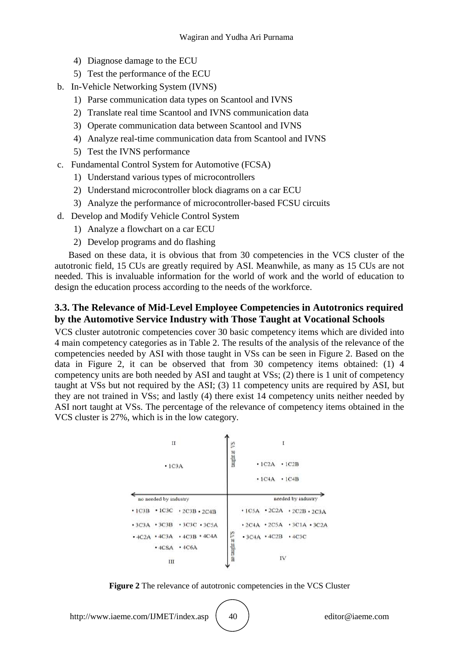- 4) Diagnose damage to the ECU
- 5) Test the performance of the ECU
- b. In-Vehicle Networking System (IVNS)
	- 1) Parse communication data types on Scantool and IVNS
	- 2) Translate real time Scantool and IVNS communication data
	- 3) Operate communication data between Scantool and IVNS
	- 4) Analyze real-time communication data from Scantool and IVNS
	- 5) Test the IVNS performance
- c. Fundamental Control System for Automotive (FCSA)
	- 1) Understand various types of microcontrollers
	- 2) Understand microcontroller block diagrams on a car ECU
	- 3) Analyze the performance of microcontroller-based FCSU circuits
- d. Develop and Modify Vehicle Control System
	- 1) Analyze a flowchart on a car ECU
	- 2) Develop programs and do flashing

Based on these data, it is obvious that from 30 competencies in the VCS cluster of the autotronic field, 15 CUs are greatly required by ASI. Meanwhile, as many as 15 CUs are not needed. This is invaluable information for the world of work and the world of education to design the education process according to the needs of the workforce.

# **3.3. The Relevance of Mid-Level Employee Competencies in Autotronics required by the Automotive Service Industry with Those Taught at Vocational Schools**

VCS cluster autotronic competencies cover 30 basic competency items which are divided into 4 main competency categories as in Table 2. The results of the analysis of the relevance of the competencies needed by ASI with those taught in VSs can be seen in Figure 2. Based on the data in Figure 2, it can be observed that from 30 competency items obtained: (1) 4 competency units are both needed by ASI and taught at VSs; (2) there is 1 unit of competency taught at VSs but not required by the ASI; (3) 11 competency units are required by ASI, but they are not trained in VSs; and lastly (4) there exist 14 competency units neither needed by ASI nort taught at VSs. The percentage of the relevance of competency items obtained in the VCS cluster is 27%, which is in the low category.



**Figure 2** The relevance of autotronic competencies in the VCS Cluster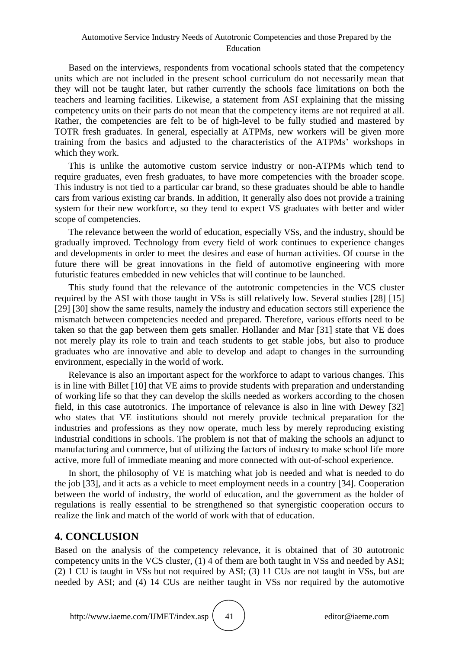### Automotive Service Industry Needs of Autotronic Competencies and those Prepared by the Education

Based on the interviews, respondents from vocational schools stated that the competency units which are not included in the present school curriculum do not necessarily mean that they will not be taught later, but rather currently the schools face limitations on both the teachers and learning facilities. Likewise, a statement from ASI explaining that the missing competency units on their parts do not mean that the competency items are not required at all. Rather, the competencies are felt to be of high-level to be fully studied and mastered by TOTR fresh graduates. In general, especially at ATPMs, new workers will be given more training from the basics and adjusted to the characteristics of the ATPMs' workshops in which they work.

This is unlike the automotive custom service industry or non-ATPMs which tend to require graduates, even fresh graduates, to have more competencies with the broader scope. This industry is not tied to a particular car brand, so these graduates should be able to handle cars from various existing car brands. In addition, It generally also does not provide a training system for their new workforce, so they tend to expect VS graduates with better and wider scope of competencies.

The relevance between the world of education, especially VSs, and the industry, should be gradually improved. Technology from every field of work continues to experience changes and developments in order to meet the desires and ease of human activities. Of course in the future there will be great innovations in the field of automotive engineering with more futuristic features embedded in new vehicles that will continue to be launched.

This study found that the relevance of the autotronic competencies in the VCS cluster required by the ASI with those taught in VSs is still relatively low. Several studies [28] [15] [29] [30] show the same results, namely the industry and education sectors still experience the mismatch between competencies needed and prepared. Therefore, various efforts need to be taken so that the gap between them gets smaller. Hollander and Mar [31] state that VE does not merely play its role to train and teach students to get stable jobs, but also to produce graduates who are innovative and able to develop and adapt to changes in the surrounding environment, especially in the world of work.

Relevance is also an important aspect for the workforce to adapt to various changes. This is in line with Billet [10] that VE aims to provide students with preparation and understanding of working life so that they can develop the skills needed as workers according to the chosen field, in this case autotronics. The importance of relevance is also in line with Dewey [32] who states that VE institutions should not merely provide technical preparation for the industries and professions as they now operate, much less by merely reproducing existing industrial conditions in schools. The problem is not that of making the schools an adjunct to manufacturing and commerce, but of utilizing the factors of industry to make school life more active, more full of immediate meaning and more connected with out-of-school experience.

In short, the philosophy of VE is matching what job is needed and what is needed to do the job [33], and it acts as a vehicle to meet employment needs in a country [34]. Cooperation between the world of industry, the world of education, and the government as the holder of regulations is really essential to be strengthened so that synergistic cooperation occurs to realize the link and match of the world of work with that of education.

# **4. CONCLUSION**

Based on the analysis of the competency relevance, it is obtained that of 30 autotronic competency units in the VCS cluster, (1) 4 of them are both taught in VSs and needed by ASI; (2) 1 CU is taught in VSs but not required by ASI; (3) 11 CUs are not taught in VSs, but are needed by ASI; and (4) 14 CUs are neither taught in VSs nor required by the automotive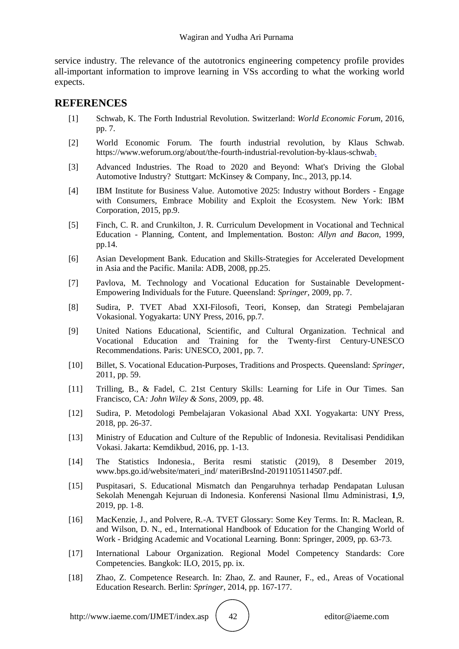service industry. The relevance of the autotronics engineering competency profile provides all-important information to improve learning in VSs according to what the working world expects.

## **REFERENCES**

- [1] Schwab, K. The Forth Industrial Revolution. Switzerland: *World Economic Forum*, 2016, pp. 7.
- [2] World Economic Forum. The fourth industrial revolution, by Klaus Schwab. https://www.weforum.org/about/the-fourth-industrial-revolution-by-klaus-schwab.
- [3] Advanced Industries. The Road to 2020 and Beyond: What's Driving the Global Automotive Industry? Stuttgart: McKinsey & Company, Inc., 2013, pp.14.
- [4] IBM Institute for Business Value. Automotive 2025: Industry without Borders Engage with Consumers, Embrace Mobility and Exploit the Ecosystem. New York: IBM Corporation, 2015, pp.9.
- [5] Finch, C. R. and Crunkilton, J. R. Curriculum Development in Vocational and Technical Education - Planning, Content, and Implementation*.* Boston: *Allyn and Bacon*, 1999, pp.14.
- [6] Asian Development Bank. Education and Skills-Strategies for Accelerated Development in Asia and the Pacific*.* Manila: ADB, 2008, pp.25.
- [7] Pavlova, M. Technology and Vocational Education for Sustainable Development-Empowering Individuals for the Future. Queensland: *Springer,* 2009, pp. 7.
- [8] Sudira, P. TVET Abad XXI-Filosofi, Teori, Konsep, dan Strategi Pembelajaran Vokasional. Yogyakarta: UNY Press, 2016, pp.7.
- [9] United Nations Educational, Scientific, and Cultural Organization. Technical and Vocational Education and Training for the Twenty-first Century-UNESCO Recommendations. Paris: UNESCO, 2001, pp. 7.
- [10] Billet, S. Vocational Education-Purposes, Traditions and Prospects. Queensland: *Springer*, 2011, pp. 59.
- [11] Trilling, B., & Fadel, C. 21st Century Skills: Learning for Life in Our Times. San Francisco, CA*: John Wiley & Sons*, 2009, pp. 48.
- [12] Sudira, P. Metodologi Pembelajaran Vokasional Abad XXI. Yogyakarta: UNY Press, 2018, pp. 26-37.
- [13] Ministry of Education and Culture of the Republic of Indonesia. Revitalisasi Pendidikan Vokasi. Jakarta: Kemdikbud, 2016, pp. 1-13.
- [14] The Statistics Indonesia., Berita resmi statistic (2019), 8 Desember 2019, www.bps.go.id/website/materi\_ind/ materiBrsInd-20191105114507.pdf.
- [15] Puspitasari, S. Educational Mismatch dan Pengaruhnya terhadap Pendapatan Lulusan Sekolah Menengah Kejuruan di Indonesia. Konferensi Nasional Ilmu Administrasi, **1**,9, 2019, pp. 1-8.
- [16] MacKenzie, J., and Polvere, R.-A. TVET Glossary: Some Key Terms. In: R. Maclean, R. and Wilson, D. N., ed., International Handbook of Education for the Changing World of Work - Bridging Academic and Vocational Learning. Bonn: Springer, 2009, pp. 63-73.
- [17] International Labour Organization. Regional Model Competency Standards: Core Competencies*.* Bangkok: ILO, 2015, pp. ix.
- [18] Zhao, Z. Competence Research. In: Zhao, Z. and Rauner, F., ed., Areas of Vocational Education Research. Berlin: *Springer,* 2014, pp. 167-177.